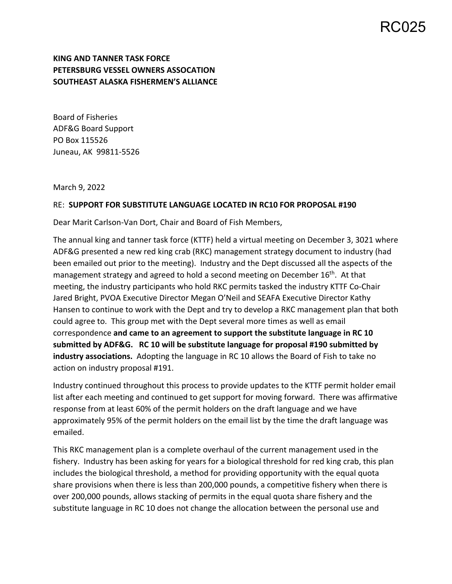## RC025

## **KING AND TANNER TASK FORCE PETERSBURG VESSEL OWNERS ASSOCATION SOUTHEAST ALASKA FISHERMEN'S ALLIANCE**

Board of Fisheries ADF&G Board Support PO Box 115526 Juneau, AK 99811‐5526

March 9, 2022

## RE: **SUPPORT FOR SUBSTITUTE LANGUAGE LOCATED IN RC10 FOR PROPOSAL #190**

Dear Marit Carlson‐Van Dort, Chair and Board of Fish Members,

The annual king and tanner task force (KTTF) held a virtual meeting on December 3, 3021 where ADF&G presented a new red king crab (RKC) management strategy document to industry (had been emailed out prior to the meeting). Industry and the Dept discussed all the aspects of the management strategy and agreed to hold a second meeting on December 16<sup>th</sup>. At that meeting, the industry participants who hold RKC permits tasked the industry KTTF Co‐Chair Jared Bright, PVOA Executive Director Megan O'Neil and SEAFA Executive Director Kathy Hansen to continue to work with the Dept and try to develop a RKC management plan that both could agree to. This group met with the Dept several more times as well as email correspondence **and came to an agreement to support the substitute language in RC 10 submitted by ADF&G. RC 10 will be substitute language for proposal #190 submitted by**  industry associations. Adopting the language in RC 10 allows the Board of Fish to take no action on industry proposal #191.

Industry continued throughout this process to provide updates to the KTTF permit holder email list after each meeting and continued to get support for moving forward. There was affirmative response from at least 60% of the permit holders on the draft language and we have approximately 95% of the permit holders on the email list by the time the draft language was emailed.

This RKC management plan is a complete overhaul of the current management used in the fishery. Industry has been asking for years for a biological threshold for red king crab, this plan includes the biological threshold, a method for providing opportunity with the equal quota share provisions when there is less than 200,000 pounds, a competitive fishery when there is over 200,000 pounds, allows stacking of permits in the equal quota share fishery and the substitute language in RC 10 does not change the allocation between the personal use and